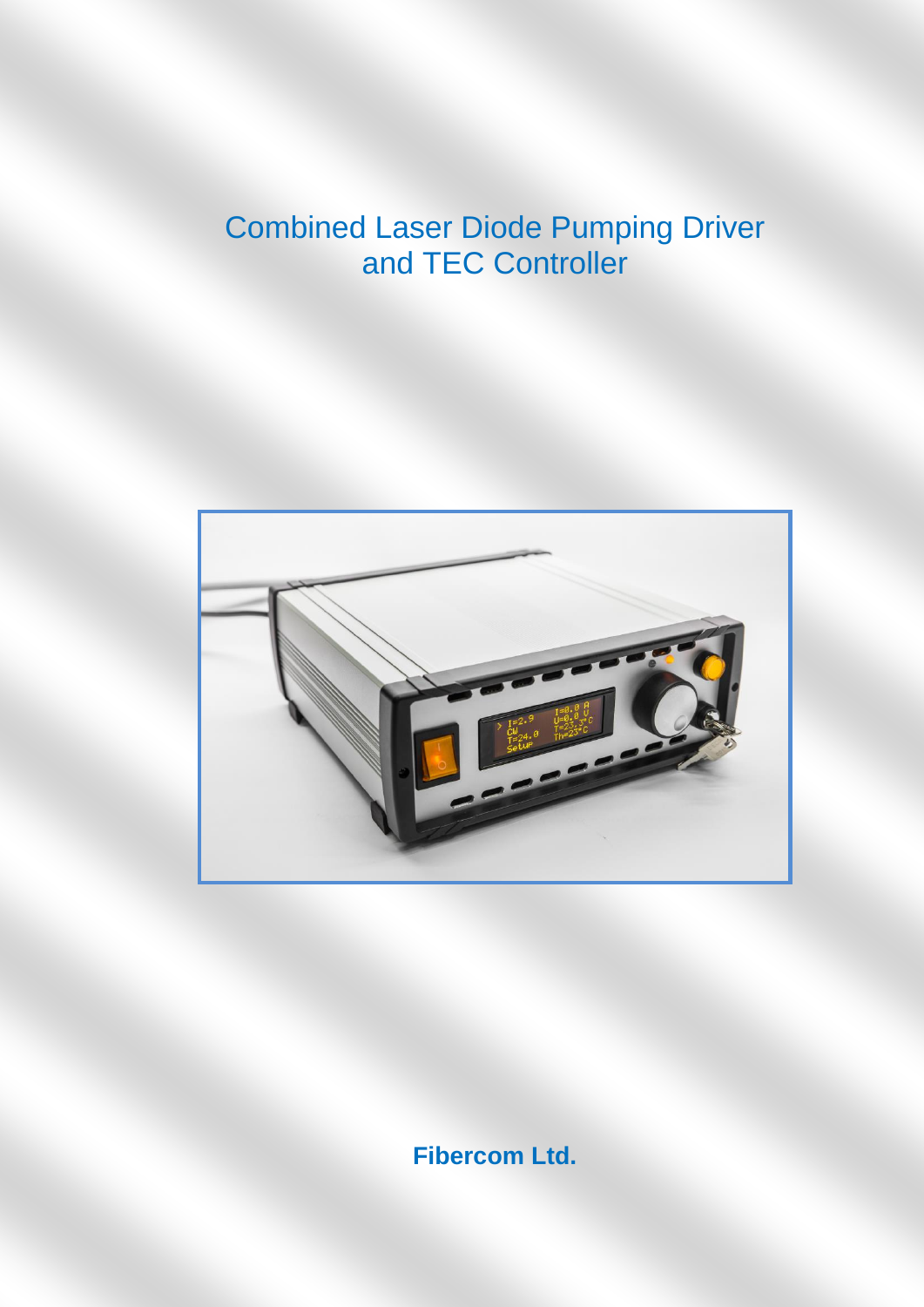# Combined Laser Diode Pumping Driver and TEC Controller



**Fibercom Ltd.**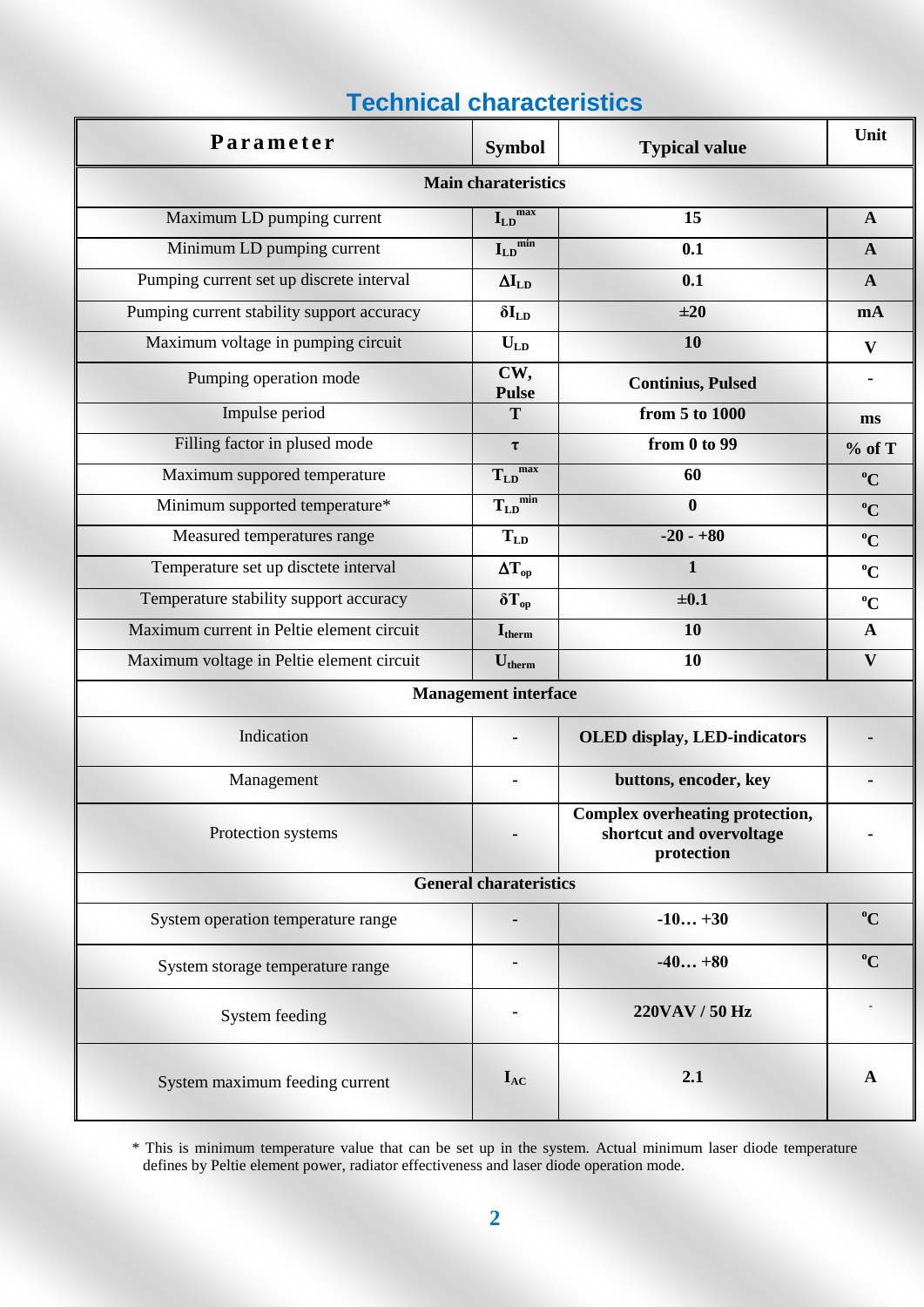| Parameter                                  | <b>Symbol</b>                               | <b>Typical value</b>                                                             | Unit           |
|--------------------------------------------|---------------------------------------------|----------------------------------------------------------------------------------|----------------|
|                                            | <b>Main charateristics</b>                  |                                                                                  |                |
| Maximum LD pumping current                 | $I_{LD}$ <sup>max</sup>                     | 15                                                                               | $\mathbf{A}$   |
| Minimum LD pumping current                 | $I_{LD}^{min}$                              | 0.1                                                                              | $\mathbf{A}$   |
| Pumping current set up discrete interval   | $\Delta I_{LD}$                             | 0.1                                                                              | $\mathbf{A}$   |
| Pumping current stability support accuracy | $\delta I_{LD}$                             | ±20                                                                              | mA             |
| Maximum voltage in pumping circuit         | $U_{LD}$                                    | 10                                                                               | $\mathbf{V}$   |
| Pumping operation mode                     | CW,<br><b>Pulse</b>                         | <b>Continius, Pulsed</b>                                                         | $\blacksquare$ |
| Impulse period                             | T                                           | from 5 to 1000                                                                   | ms             |
| Filling factor in plused mode              | $\tau$                                      | from 0 to 99                                                                     | % of T         |
| Maximum suppored temperature               | $T_{LD}$ <sup>max</sup>                     | 60                                                                               | $\rm ^{o}C$    |
| Minimum supported temperature*             | $\overline{\mathrm{T_{LD}}}^{\mathrm{min}}$ | $\bf{0}$                                                                         | $\rm ^{o}C$    |
| Measured temperatures range                | $T_{LD}$                                    | $-20 - +80$                                                                      | $\rm ^{o}C$    |
| Temperature set up disctete interval       | $\Delta T_{op}$                             | $\mathbf{1}$                                                                     | $\rm ^{0}C$    |
| Temperature stability support accuracy     | $\delta T_{op}$                             | $\pm 0.1$                                                                        | $\rm ^{o}C$    |
| Maximum current in Peltie element circuit  | $\mathbf{I}_{\text{therm}}$                 | 10                                                                               | $\mathbf{A}$   |
| Maximum voltage in Peltie element circuit  | $U_{therm}$                                 | 10                                                                               | $\mathbf{V}$   |
|                                            | <b>Management interface</b>                 |                                                                                  |                |
| Indication                                 |                                             | <b>OLED</b> display, LED-indicators                                              |                |
| Management                                 |                                             | buttons, encoder, key                                                            |                |
| Protection systems                         |                                             | <b>Complex overheating protection,</b><br>shortcut and overvoltage<br>protection |                |
|                                            | <b>General charateristics</b>               |                                                                                  |                |
| System operation temperature range         |                                             | $-10+30$                                                                         | $\rm ^{o}C$    |
| System storage temperature range           |                                             | $-40+80$                                                                         | $\rm ^{o}C$    |
| System feeding                             |                                             | 220VAV / 50 Hz                                                                   |                |
| System maximum feeding current             | $I_{AC}$                                    | 2.1                                                                              | A              |

## **Technical characteristics**

<sup>\*</sup> This is minimum temperature value that can be set up in the system. Actual minimum laser diode temperature defines by Peltie element power, radiator effectiveness and laser diode operation mode.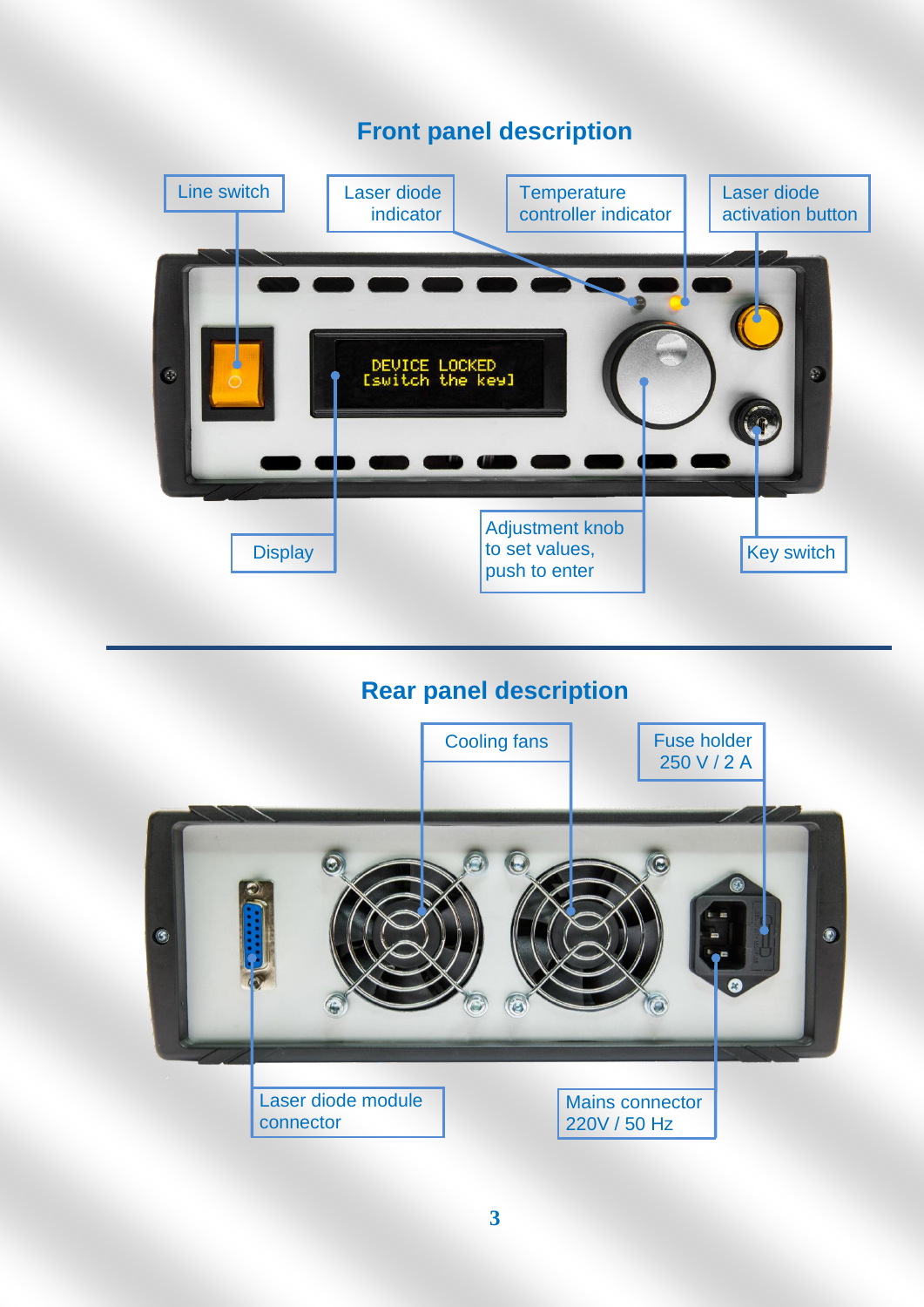# **Front panel description** Line switch Laser diode Laser diode **Temperature** controller indicator indicator activation button DEVICE LOCKED<br>Iswitch the keyl  $\odot$ Adjustment knob to set values, **Display** Key switch push to enter

### **Rear panel description**

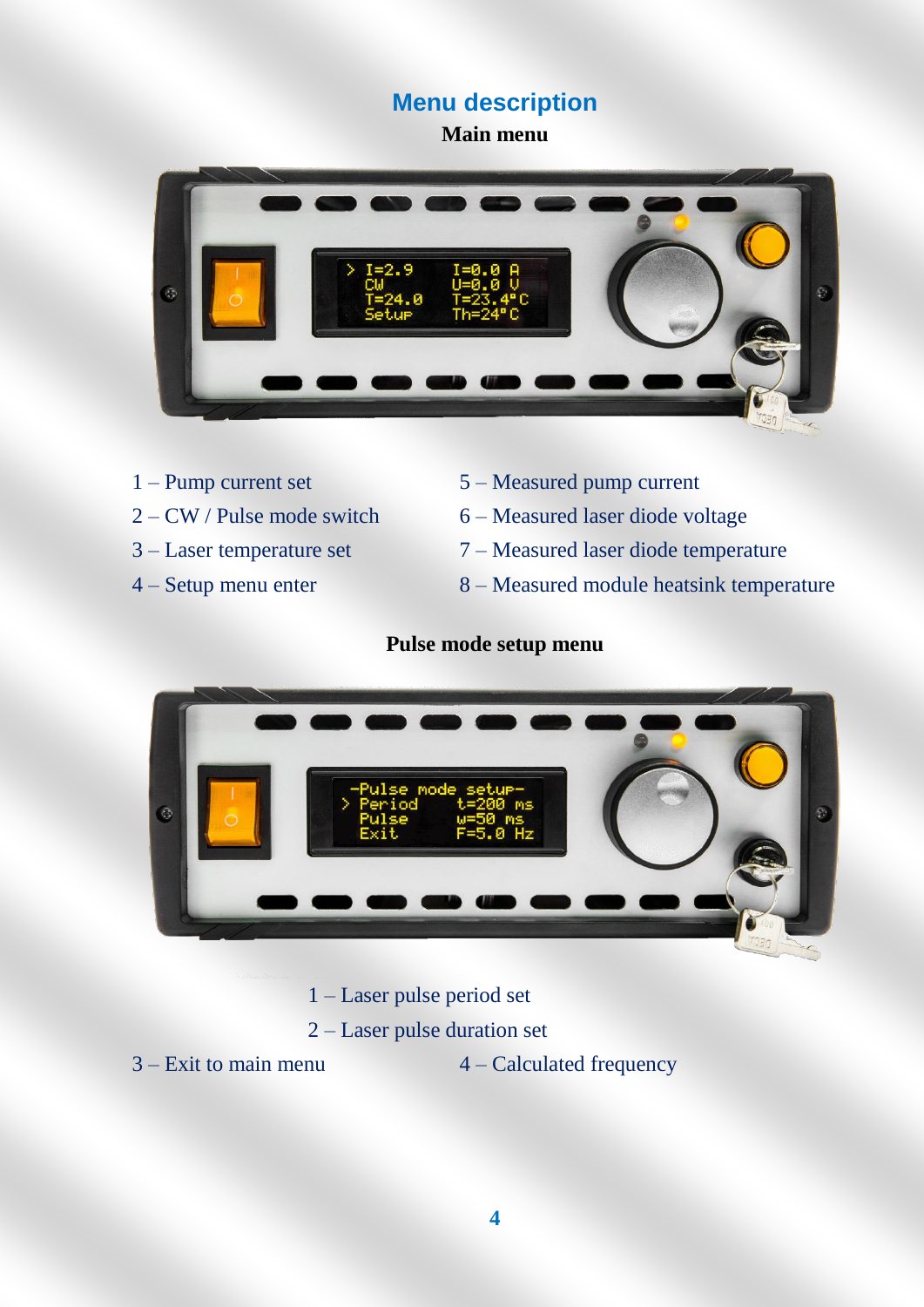#### **Menu description**

**Main menu**



- 
- 
- 
- 
- 1 Pump current set 5 Measured pump current
- 2 CW / Pulse mode switch 6 Measured laser diode voltage
- 3 Laser temperature set 7 Measured laser diode temperature
- 4 Setup menu enter 8 Measured module heatsink temperature

#### **Pulse mode setup menu**



- 1 Laser pulse period set
- 2 Laser pulse duration set
- 
- $3 -$  Exit to main menu  $4 -$  Calculated frequency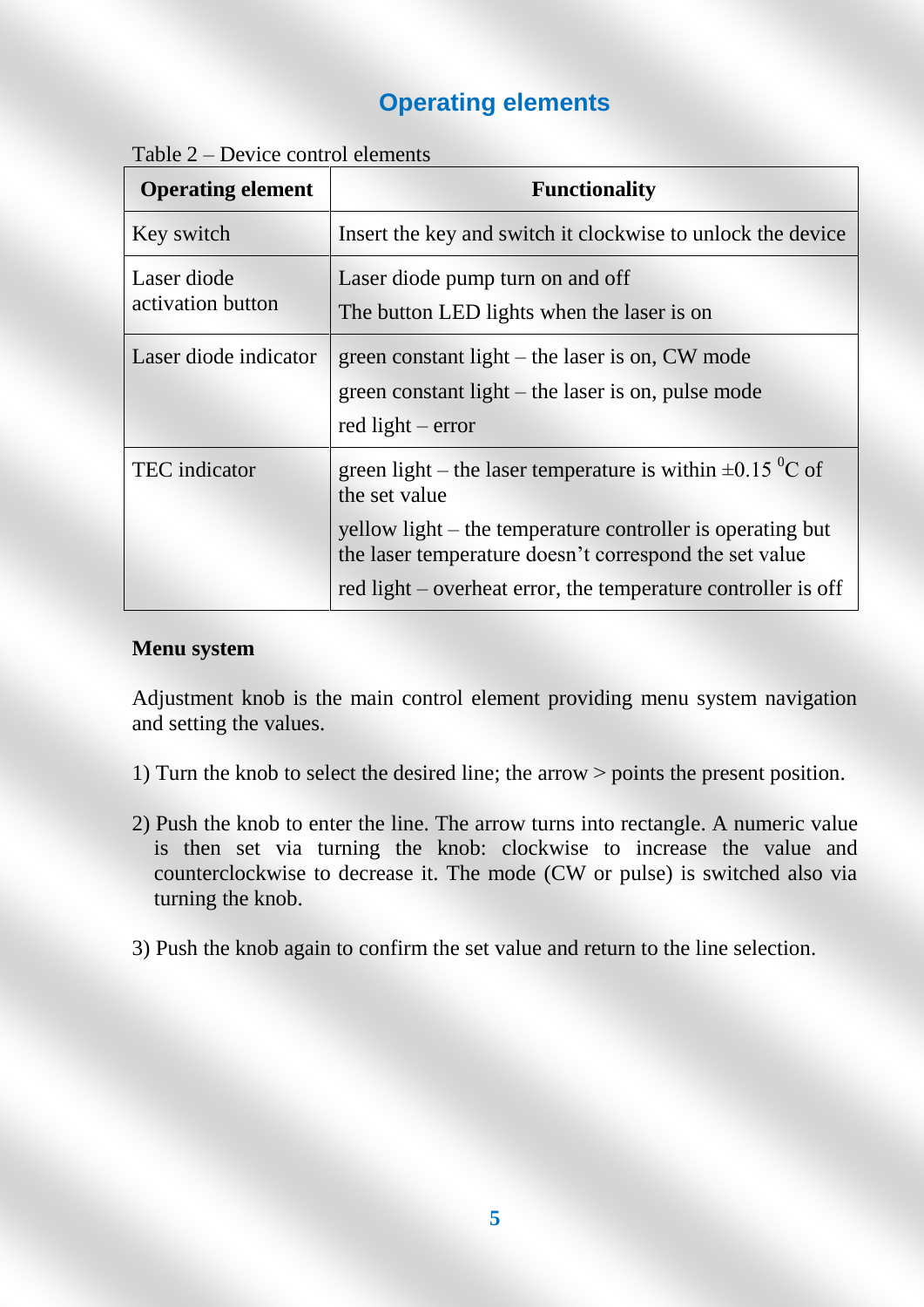### **Operating elements**

| Table $2$ – Device control elements |  |  |
|-------------------------------------|--|--|
|                                     |  |  |

| <b>Operating element</b>         | <b>Functionality</b>                                                                                                           |
|----------------------------------|--------------------------------------------------------------------------------------------------------------------------------|
| Key switch                       | Insert the key and switch it clockwise to unlock the device                                                                    |
| Laser diode<br>activation button | Laser diode pump turn on and off<br>The button LED lights when the laser is on                                                 |
| Laser diode indicator            | green constant light $-$ the laser is on, CW mode<br>green constant light – the laser is on, pulse mode<br>red light $-$ error |
| <b>TEC</b> indicator             | green light – the laser temperature is within $\pm 0.15$ °C of<br>the set value                                                |
|                                  | yellow light – the temperature controller is operating but<br>the laser temperature doesn't correspond the set value           |
|                                  | red light – overheat error, the temperature controller is off                                                                  |

#### **Menu system**

Adjustment knob is the main control element providing menu system navigation and setting the values.

- 1) Turn the knob to select the desired line; the arrow ˃ points the present position.
- 2) Push the knob to enter the line. The arrow turns into rectangle. A numeric value is then set via turning the knob: clockwise to increase the value and counterclockwise to decrease it. The mode (CW or pulse) is switched also via turning the knob.
- 3) Push the knob again to confirm the set value and return to the line selection.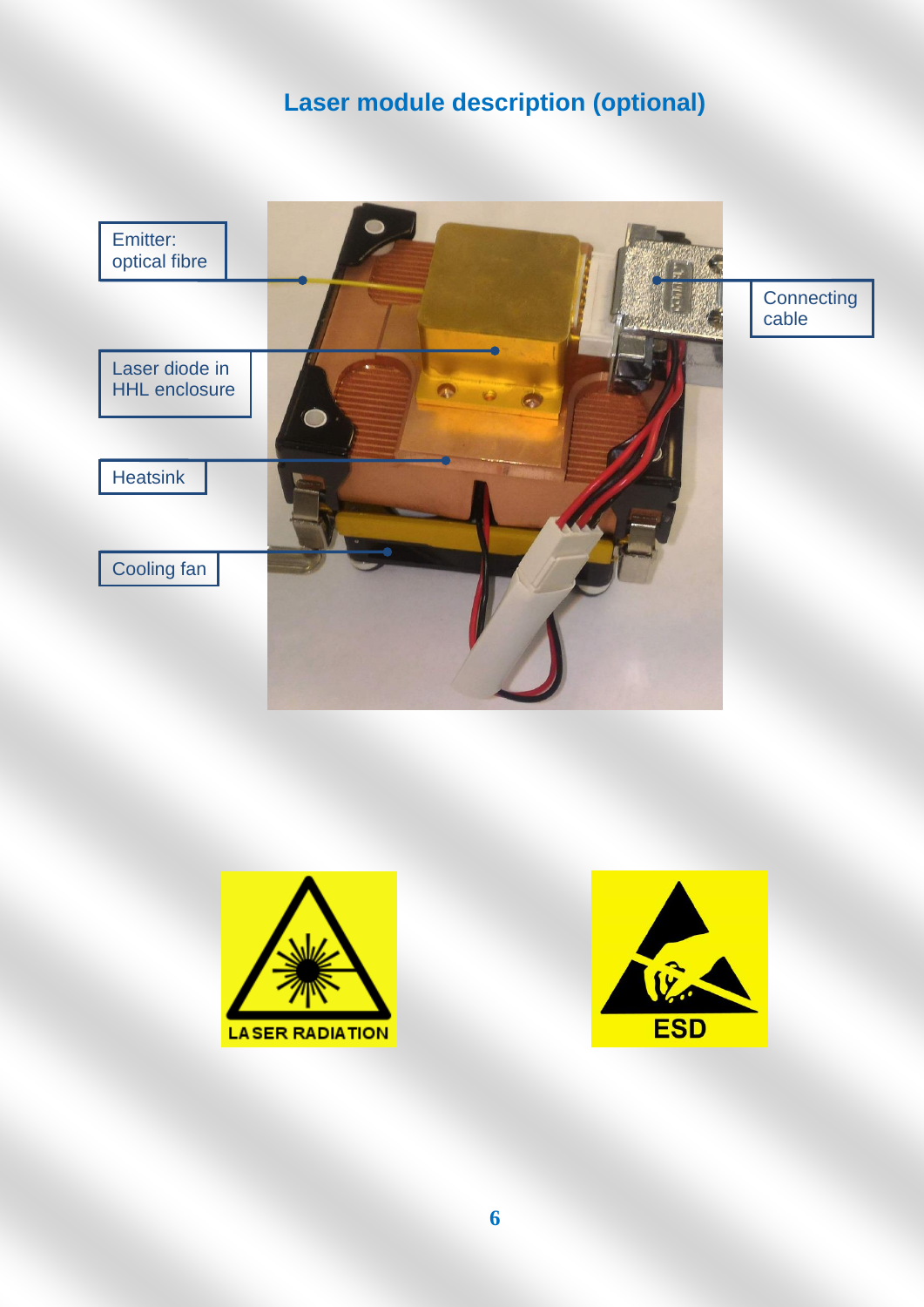# **Laser module description (optional)**



**Connecting** cable





**6**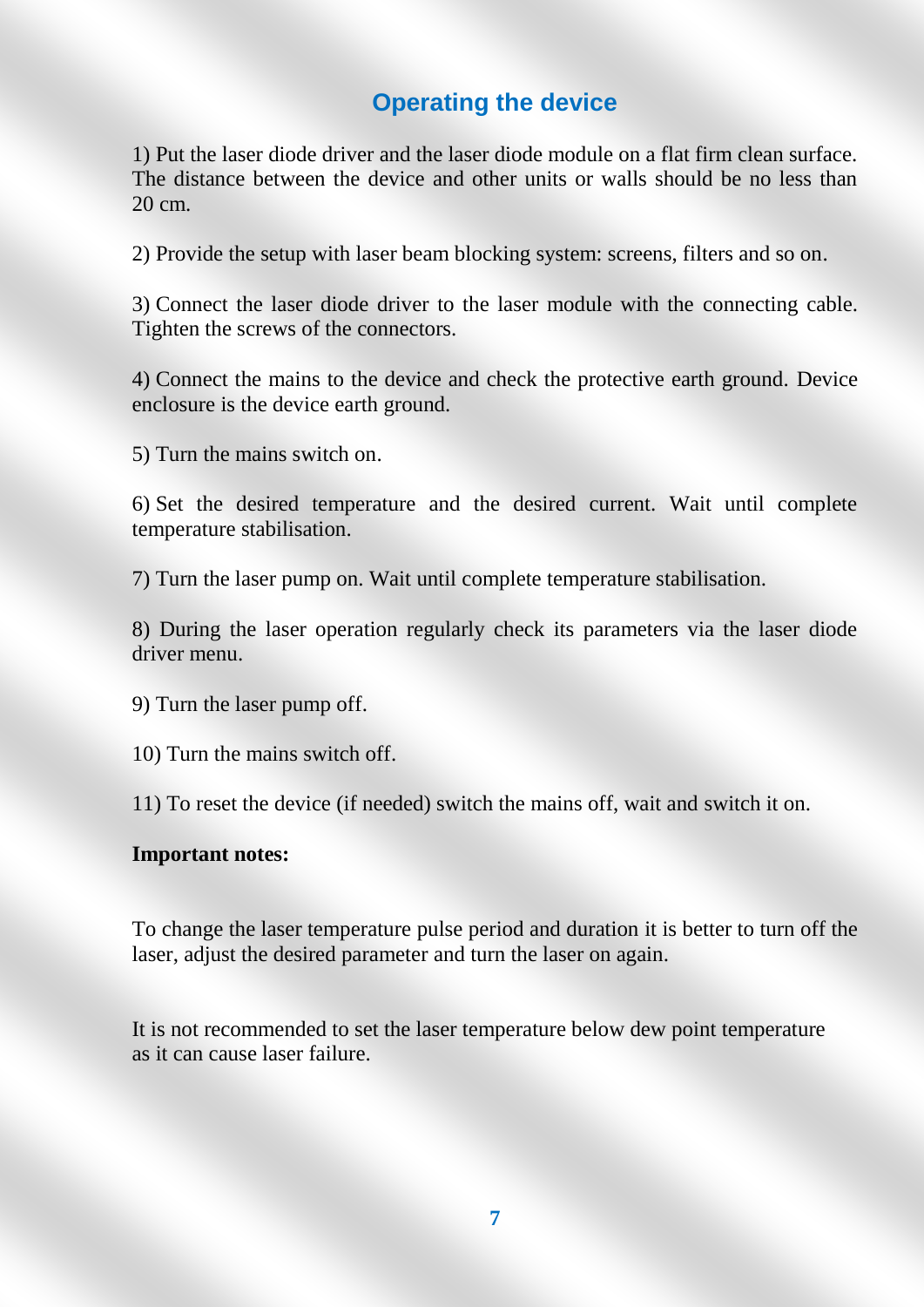#### **Operating the device**

1) Put the laser diode driver and the laser diode module on a flat firm clean surface. The distance between the device and other units or walls should be no less than 20 cm.

2) Provide the setup with laser beam blocking system: screens, filters and so on.

3) Connect the laser diode driver to the laser module with the connecting cable. Tighten the screws of the connectors.

4) Connect the mains to the device and check the protective earth ground. Device enclosure is the device earth ground.

5) Turn the mains switch on.

6) Set the desired temperature and the desired current. Wait until complete temperature stabilisation.

7) Turn the laser pump on. Wait until complete temperature stabilisation.

8) During the laser operation regularly check its parameters via the laser diode driver menu.

9) Turn the laser pump off.

10) Turn the mains switch off.

11) To reset the device (if needed) switch the mains off, wait and switch it on.

#### **Important notes:**

To change the laser temperature pulse period and duration it is better to turn off the laser, adjust the desired parameter and turn the laser on again.

It is not recommended to set the laser temperature below dew point temperature as it can cause laser failure.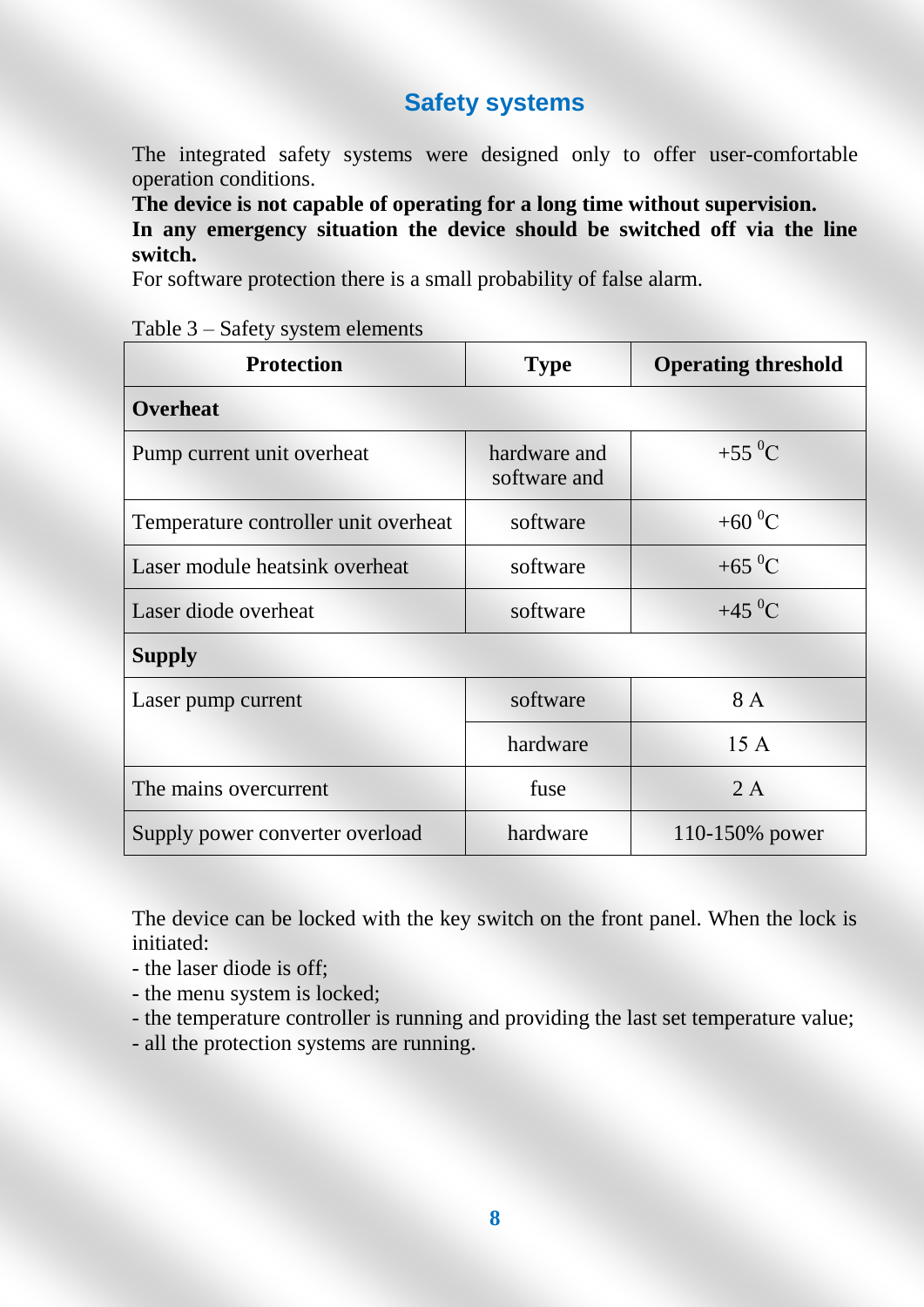#### **Safety systems**

The integrated safety systems were designed only to offer user-comfortable operation conditions.

**The device is not capable of operating for a long time without supervision.**

**In any emergency situation the device should be switched off via the line switch.**

For software protection there is a small probability of false alarm.

|  | Table 3 – Safety system elements |  |
|--|----------------------------------|--|
|--|----------------------------------|--|

| <b>Protection</b>                    | <b>Type</b>                  | <b>Operating threshold</b> |
|--------------------------------------|------------------------------|----------------------------|
| <b>Overheat</b>                      |                              |                            |
| Pump current unit overheat           | hardware and<br>software and | $+55\,^0C$                 |
| Temperature controller unit overheat | software                     | +60 $^{0}$ C               |
| Laser module heatsink overheat       | software                     | +65 $^{0}C$                |
| Laser diode overheat                 | software                     | $+45\,^0C$                 |
| <b>Supply</b>                        |                              |                            |
| Laser pump current                   | software                     | 8 A                        |
|                                      | hardware                     | 15A                        |
| The mains overcurrent                | fuse                         | 2A                         |
| Supply power converter overload      | hardware                     | 110-150% power             |

The device can be locked with the key switch on the front panel. When the lock is initiated:

- the laser diode is off;
- the menu system is locked;
- the temperature controller is running and providing the last set temperature value;
- all the protection systems are running.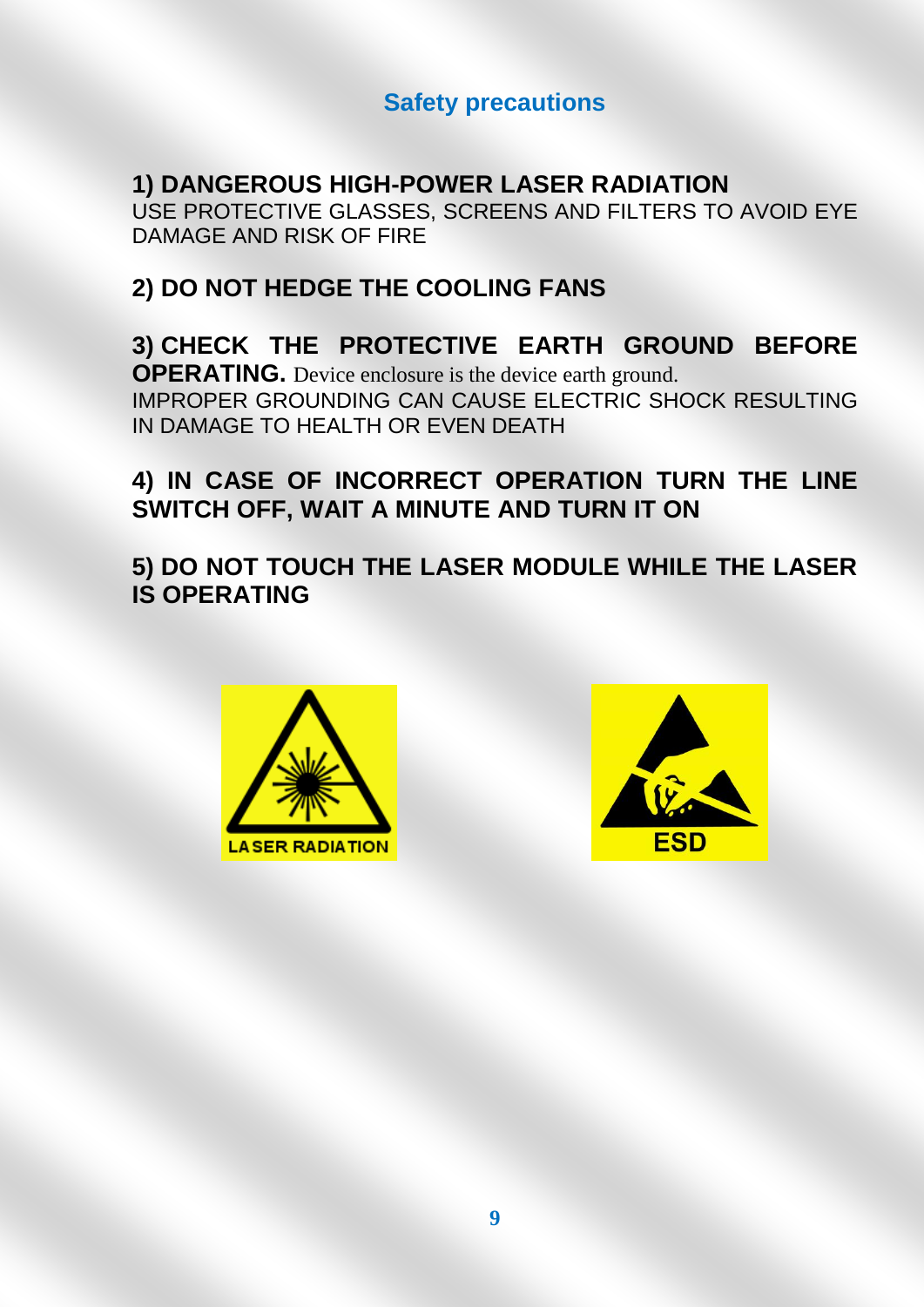#### **Safety precautions**

#### **1) DANGEROUS HIGH-POWER LASER RADIATION**

USE PROTECTIVE GLASSES, SCREENS AND FILTERS TO AVOID EYE DAMAGE AND RISK OF FIRE

### **2) DO NOT HEDGE THE COOLING FANS**

#### **3) CHECK THE PROTECTIVE EARTH GROUND BEFORE OPERATING.** Device enclosure is the device earth ground. IMPROPER GROUNDING CAN CAUSE ELECTRIC SHOCK RESULTING IN DAMAGE TO HEALTH OR EVEN DEATH

### **4) IN CASE OF INCORRECT OPERATION TURN THE LINE SWITCH OFF, WAIT A MINUTE AND TURN IT ON**

**5) DO NOT TOUCH THE LASER MODULE WHILE THE LASER IS OPERATING**